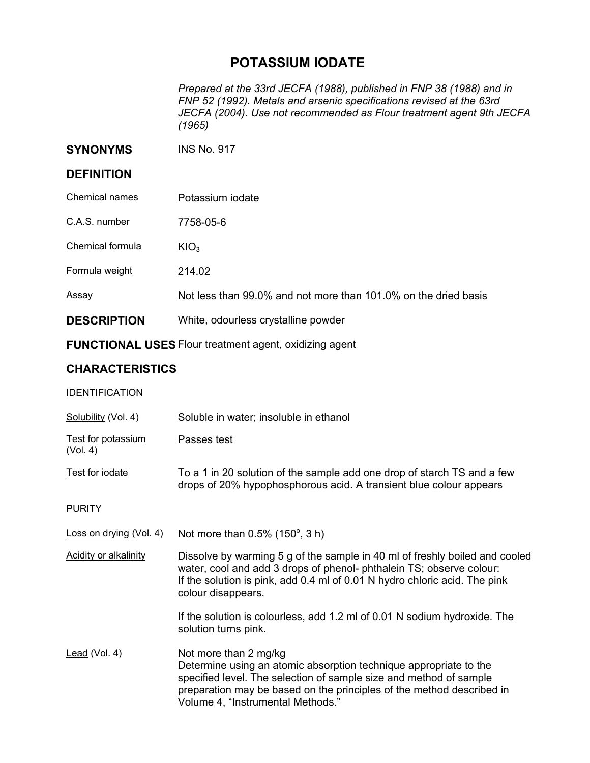## **POTASSIUM IODATE**

*Prepared at the 33rd JECFA (1988), published in FNP 38 (1988) and in FNP 52 (1992). Metals and arsenic specifications revised at the 63rd JECFA (2004). Use not recommended as Flour treatment agent 9th JECFA (1965)* 

**SYNONYMS** INS No. 917

## **DEFINITION**

| Chemical names     | Potassium iodate                                                |
|--------------------|-----------------------------------------------------------------|
| C.A.S. number      | 7758-05-6                                                       |
| Chemical formula   | KIO <sub>3</sub>                                                |
| Formula weight     | 214.02                                                          |
| Assay              | Not less than 99.0% and not more than 101.0% on the dried basis |
| <b>DESCRIPTION</b> | White, odourless crystalline powder                             |

**FUNCTIONAL USES** Flour treatment agent, oxidizing agent

## **CHARACTERISTICS**

| <b>IDENTIFICATION</b> |
|-----------------------|
|-----------------------|

| Solubility (Vol. 4)                   | Soluble in water; insoluble in ethanol                                                                                                                                                                                                                                         |
|---------------------------------------|--------------------------------------------------------------------------------------------------------------------------------------------------------------------------------------------------------------------------------------------------------------------------------|
| <b>Test for potassium</b><br>(Vol. 4) | Passes test                                                                                                                                                                                                                                                                    |
| Test for iodate                       | To a 1 in 20 solution of the sample add one drop of starch TS and a few<br>drops of 20% hypophosphorous acid. A transient blue colour appears                                                                                                                                  |
| <b>PURITY</b>                         |                                                                                                                                                                                                                                                                                |
| Loss on drying (Vol. 4)               | Not more than $0.5\%$ (150 $^{\circ}$ , 3 h)                                                                                                                                                                                                                                   |
| <b>Acidity or alkalinity</b>          | Dissolve by warming 5 g of the sample in 40 ml of freshly boiled and cooled<br>water, cool and add 3 drops of phenol-phthalein TS; observe colour:<br>If the solution is pink, add 0.4 ml of 0.01 N hydro chloric acid. The pink<br>colour disappears.                         |
|                                       | If the solution is colourless, add 1.2 ml of 0.01 N sodium hydroxide. The<br>solution turns pink.                                                                                                                                                                              |
| Lead (Vol. 4)                         | Not more than 2 mg/kg<br>Determine using an atomic absorption technique appropriate to the<br>specified level. The selection of sample size and method of sample<br>preparation may be based on the principles of the method described in<br>Volume 4, "Instrumental Methods." |